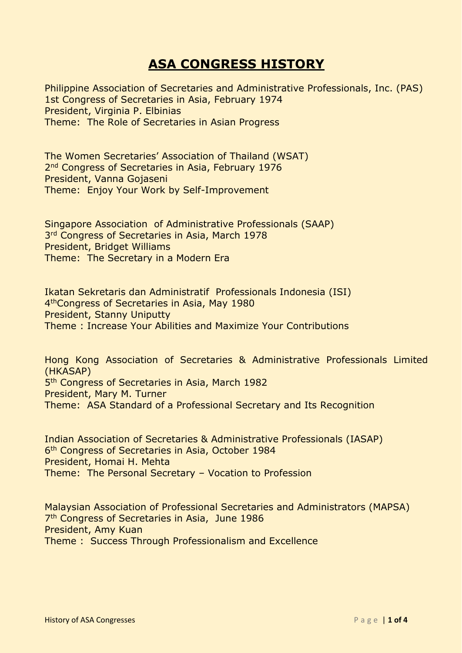## **ASA CONGRESS HISTORY**

Philippine Association of Secretaries and Administrative Professionals, Inc. (PAS) 1st Congress of Secretaries in Asia, February 1974 President, Virginia P. Elbinias Theme: The Role of Secretaries in Asian Progress

The Women Secretaries' Association of Thailand (WSAT) 2<sup>nd</sup> Congress of Secretaries in Asia, February 1976 President, Vanna Gojaseni Theme: Enjoy Your Work by Self-Improvement

Singapore Association of Administrative Professionals (SAAP) 3<sup>rd</sup> Congress of Secretaries in Asia, March 1978 President, Bridget Williams Theme: The Secretary in a Modern Era

Ikatan Sekretaris dan Administratif Professionals Indonesia (ISI) 4 thCongress of Secretaries in Asia, May 1980 President, Stanny Uniputty Theme : Increase Your Abilities and Maximize Your Contributions

Hong Kong Association of Secretaries & Administrative Professionals Limited (HKASAP) 5<sup>th</sup> Congress of Secretaries in Asia, March 1982 President, Mary M. Turner Theme: ASA Standard of a Professional Secretary and Its Recognition

Indian Association of Secretaries & Administrative Professionals (IASAP) 6<sup>th</sup> Congress of Secretaries in Asia, October 1984 President, Homai H. Mehta Theme: The Personal Secretary – Vocation to Profession

Malaysian Association of Professional Secretaries and Administrators (MAPSA) 7<sup>th</sup> Congress of Secretaries in Asia, June 1986 President, Amy Kuan Theme : Success Through Professionalism and Excellence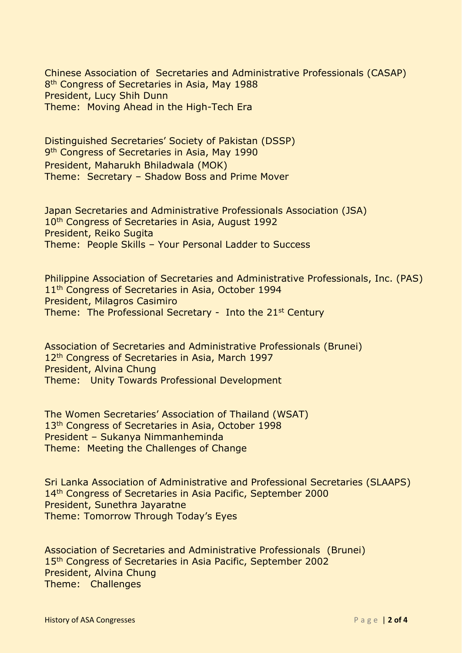Chinese Association of Secretaries and Administrative Professionals (CASAP) 8<sup>th</sup> Congress of Secretaries in Asia, May 1988 President, Lucy Shih Dunn Theme: Moving Ahead in the High-Tech Era

Distinguished Secretaries' Society of Pakistan (DSSP) 9<sup>th</sup> Congress of Secretaries in Asia, May 1990 President, Maharukh Bhiladwala (MOK) Theme: Secretary – Shadow Boss and Prime Mover

Japan Secretaries and Administrative Professionals Association (JSA) 10<sup>th</sup> Congress of Secretaries in Asia, August 1992 President, Reiko Sugita Theme: People Skills – Your Personal Ladder to Success

Philippine Association of Secretaries and Administrative Professionals, Inc. (PAS) 11<sup>th</sup> Congress of Secretaries in Asia, October 1994 President, Milagros Casimiro Theme: The Professional Secretary - Into the 21<sup>st</sup> Century

Association of Secretaries and Administrative Professionals (Brunei) 12<sup>th</sup> Congress of Secretaries in Asia, March 1997 President, Alvina Chung Theme: Unity Towards Professional Development

The Women Secretaries' Association of Thailand (WSAT) 13<sup>th</sup> Congress of Secretaries in Asia, October 1998 President – Sukanya Nimmanheminda Theme: Meeting the Challenges of Change

Sri Lanka Association of Administrative and Professional Secretaries (SLAAPS) 14<sup>th</sup> Congress of Secretaries in Asia Pacific, September 2000 President, Sunethra Jayaratne Theme: Tomorrow Through Today's Eyes

Association of Secretaries and Administrative Professionals (Brunei) 15<sup>th</sup> Congress of Secretaries in Asia Pacific, September 2002 President, Alvina Chung Theme: Challenges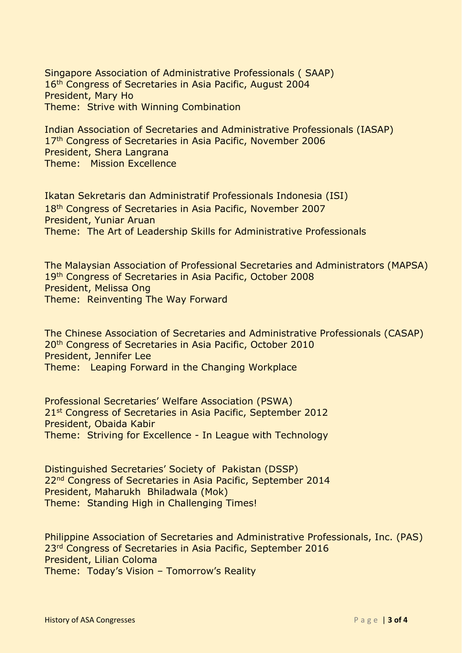Singapore Association of Administrative Professionals ( SAAP) 16<sup>th</sup> Congress of Secretaries in Asia Pacific, August 2004 President, Mary Ho Theme: Strive with Winning Combination

Indian Association of Secretaries and Administrative Professionals (IASAP) 17<sup>th</sup> Congress of Secretaries in Asia Pacific, November 2006 President, Shera Langrana Theme: Mission Excellence

Ikatan Sekretaris dan Administratif Professionals Indonesia (ISI) 18th Congress of Secretaries in Asia Pacific, November 2007 President, Yuniar Aruan Theme: The Art of Leadership Skills for Administrative Professionals

The Malaysian Association of Professional Secretaries and Administrators (MAPSA) 19th Congress of Secretaries in Asia Pacific, October 2008 President, Melissa Ong Theme: Reinventing The Way Forward

The Chinese Association of Secretaries and Administrative Professionals (CASAP) 20th Congress of Secretaries in Asia Pacific, October 2010 President, Jennifer Lee Theme: Leaping Forward in the Changing Workplace

Professional Secretaries' Welfare Association (PSWA) 21<sup>st</sup> Congress of Secretaries in Asia Pacific, September 2012 President, Obaida Kabir Theme: Striving for Excellence - In League with Technology

Distinguished Secretaries' Society of Pakistan (DSSP) 22<sup>nd</sup> Congress of Secretaries in Asia Pacific, September 2014 President, Maharukh Bhiladwala (Mok) Theme: Standing High in Challenging Times!

Philippine Association of Secretaries and Administrative Professionals, Inc. (PAS) 23<sup>rd</sup> Congress of Secretaries in Asia Pacific, September 2016 President, Lilian Coloma Theme: Today's Vision – Tomorrow's Reality